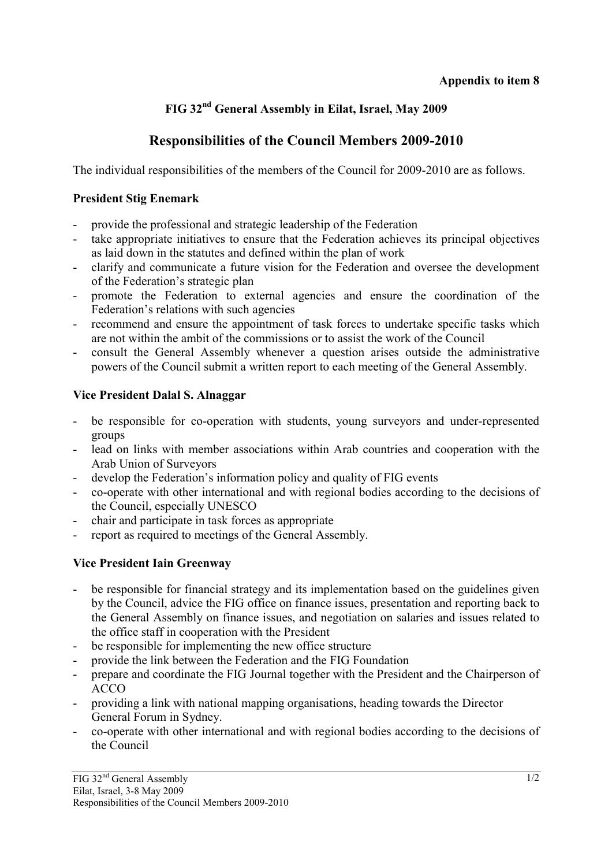#### **Appendix to item 8**

# **FIG 32nd General Assembly in Eilat, Israel, May 2009**

# **Responsibilities of the Council Members 2009-2010**

The individual responsibilities of the members of the Council for 2009-2010 are as follows.

#### **President Stig Enemark**

- provide the professional and strategic leadership of the Federation
- take appropriate initiatives to ensure that the Federation achieves its principal objectives as laid down in the statutes and defined within the plan of work
- clarify and communicate a future vision for the Federation and oversee the development of the Federation's strategic plan
- promote the Federation to external agencies and ensure the coordination of the Federation's relations with such agencies
- recommend and ensure the appointment of task forces to undertake specific tasks which are not within the ambit of the commissions or to assist the work of the Council
- consult the General Assembly whenever a question arises outside the administrative powers of the Council submit a written report to each meeting of the General Assembly.

## **Vice President Dalal S. Alnaggar**

- be responsible for co-operation with students, young surveyors and under-represented groups
- lead on links with member associations within Arab countries and cooperation with the Arab Union of Surveyors
- develop the Federation's information policy and quality of FIG events
- co-operate with other international and with regional bodies according to the decisions of the Council, especially UNESCO
- chair and participate in task forces as appropriate
- report as required to meetings of the General Assembly.

## **Vice President Iain Greenway**

- be responsible for financial strategy and its implementation based on the guidelines given by the Council, advice the FIG office on finance issues, presentation and reporting back to the General Assembly on finance issues, and negotiation on salaries and issues related to the office staff in cooperation with the President
- be responsible for implementing the new office structure
- provide the link between the Federation and the FIG Foundation
- prepare and coordinate the FIG Journal together with the President and the Chairperson of ACCO
- providing a link with national mapping organisations, heading towards the Director General Forum in Sydney.
- co-operate with other international and with regional bodies according to the decisions of the Council